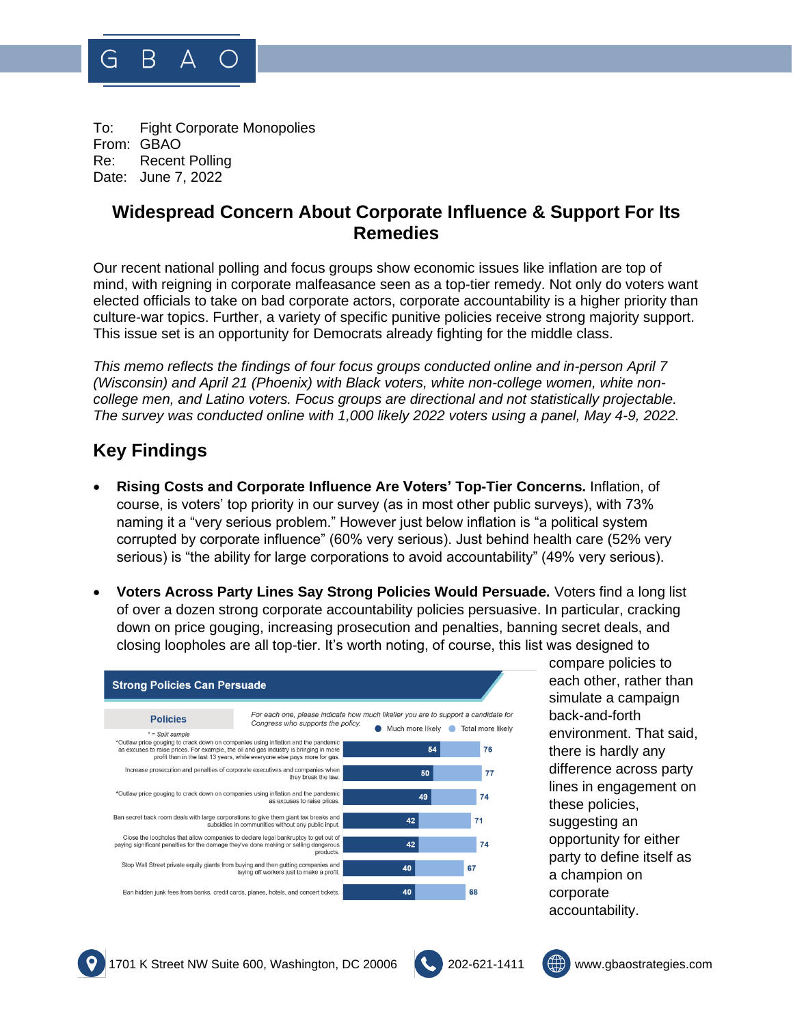

To: Fight Corporate Monopolies From: GBAO Re: Recent Polling Date: June 7, 2022

## **Widespread Concern About Corporate Influence & Support For Its Remedies**

Our recent national polling and focus groups show economic issues like inflation are top of mind, with reigning in corporate malfeasance seen as a top-tier remedy. Not only do voters want elected officials to take on bad corporate actors, corporate accountability is a higher priority than culture-war topics. Further, a variety of specific punitive policies receive strong majority support. This issue set is an opportunity for Democrats already fighting for the middle class.

*This memo reflects the findings of four focus groups conducted online and in-person April 7 (Wisconsin) and April 21 (Phoenix) with Black voters, white non-college women, white noncollege men, and Latino voters. Focus groups are directional and not statistically projectable. The survey was conducted online with 1,000 likely 2022 voters using a panel, May 4-9, 2022.*

## **Key Findings**

- **Rising Costs and Corporate Influence Are Voters' Top-Tier Concerns.** Inflation, of course, is voters' top priority in our survey (as in most other public surveys), with 73% naming it a "very serious problem." However just below inflation is "a political system corrupted by corporate influence" (60% very serious). Just behind health care (52% very serious) is "the ability for large corporations to avoid accountability" (49% very serious).
- **Voters Across Party Lines Say Strong Policies Would Persuade.** Voters find a long list of over a dozen strong corporate accountability policies persuasive. In particular, cracking down on price gouging, increasing prosecution and penalties, banning secret deals, and closing loopholes are all top-tier. It's worth noting, of course, this list was designed to



compare policies to each other, rather than simulate a campaign back-and-forth environment. That said, there is hardly any difference across party lines in engagement on these policies, suggesting an opportunity for either party to define itself as a champion on corporate accountability.





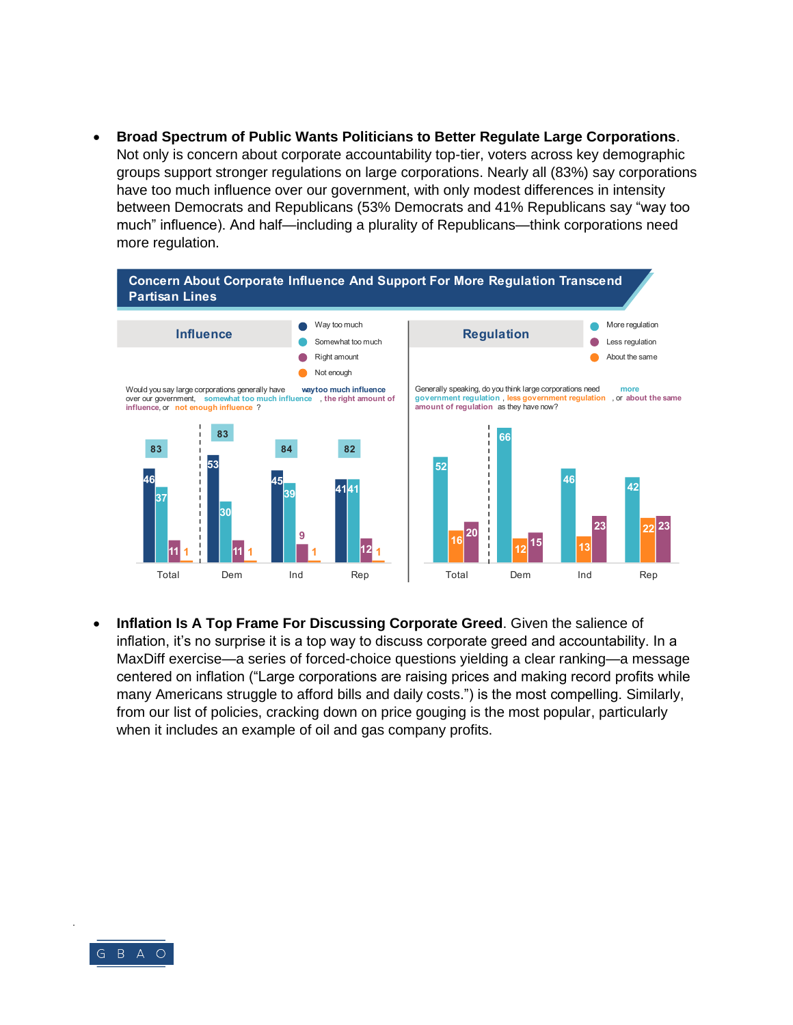• **Broad Spectrum of Public Wants Politicians to Better Regulate Large Corporations**. Not only is concern about corporate accountability top-tier, voters across key demographic groups support stronger regulations on large corporations. Nearly all (83%) say corporations have too much influence over our government, with only modest differences in intensity between Democrats and Republicans (53% Democrats and 41% Republicans say "way too much" influence). And half—including a plurality of Republicans—think corporations need more regulation.



• **Inflation Is A Top Frame For Discussing Corporate Greed**. Given the salience of inflation, it's no surprise it is a top way to discuss corporate greed and accountability. In a MaxDiff exercise—a series of forced-choice questions yielding a clear ranking—a message centered on inflation ("Large corporations are raising prices and making record profits while many Americans struggle to afford bills and daily costs.") is the most compelling. Similarly, from our list of policies, cracking down on price gouging is the most popular, particularly when it includes an example of oil and gas company profits.

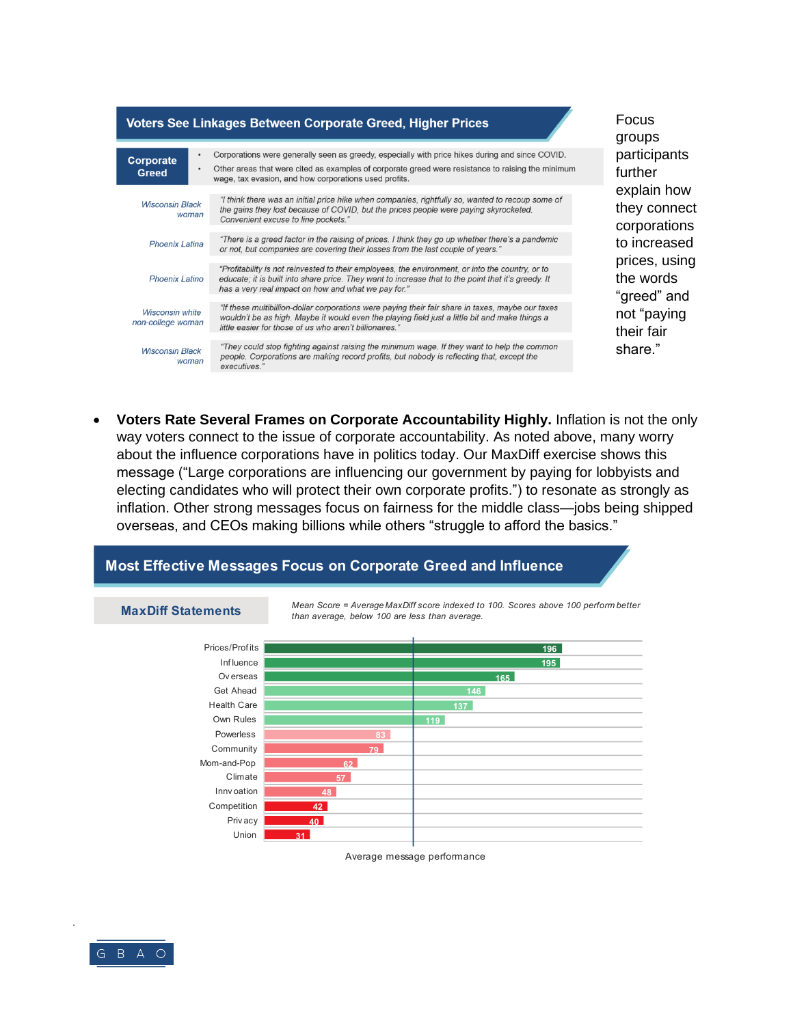

Focus groups participants further explain how they connect corporations to increased prices, using the words "greed" and not "paying their fair share."

Voters Rate Several Frames on Corporate Accountability Highly. Inflation is not the only way voters connect to the issue of corporate accountability. As noted above, many worry about the influence corporations have in politics today. Our MaxDiff exercise shows this message ("Large corporations are influencing our government by paying for lobbyists and electing candidates who will protect their own corporate profits.") to resonate as strongly as inflation. Other strong messages focus on fairness for the middle class—jobs being shipped overseas, and CEOs making billions while others "struggle to afford the basics."

than average, below 100 are less than average.

## Most Effective Messages Focus on Corporate Greed and Influence



Mean Score = Average MaxDiff score indexed to 100. Scores above 100 perform better

Average message performance



**MaxDiff Statements**